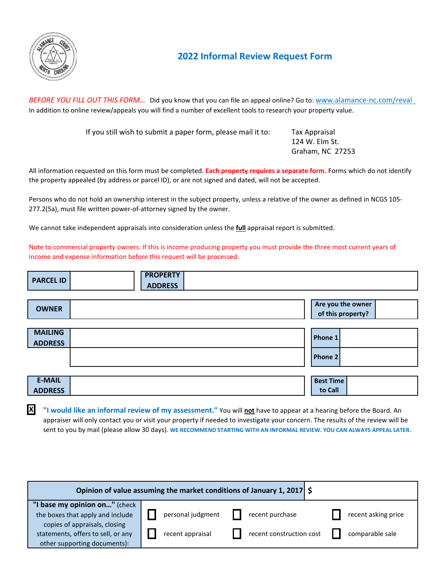

**X**

## **2022 Informal Review Request Form**

*BEFORE YOU FILL OUT THIS FORM…* Did you know that you can file an appeal online? Go to: www.alamance-nc.com/reval In addition to online review/appeals you will find a number of excellent tools to research your property value.

If you still wish to submit a paper form, please mail it to: Tax Appraisal

124 W. Elm St. Graham, NC 27253

 $\mathbf{I}$ 

All information requested on this form must be completed. **Each property requires a separate form.** Forms which do not identify the property appealed (by address or parcel ID), or are not signed and dated, will not be accepted.

Persons who do not hold an ownership interest in the subject property, unless a relative of the owner as defined in NCGS 105- 277.2(5a), must file written power-of-attorney signed by the owner.

We cannot take independent appraisals into consideration unless the **full** appraisal report is submitted.

Note to commercial property owners: If this is income producing property you must provide the three most current years of income and expense information before this request will be processed.

| <b>PARCEL ID</b> | <b>PROPERTY</b> |                               |
|------------------|-----------------|-------------------------------|
|                  | <b>ADDRESS</b>  |                               |
|                  |                 |                               |
|                  |                 | المحمدين والمطابة ويحرم ومعال |

| <b>OWNER</b>   | Are you the owner<br>of this property? |
|----------------|----------------------------------------|
|                |                                        |
| <b>MAILING</b> | Phone 1                                |
| <b>ADDRESS</b> |                                        |
|                | Phone 2                                |
|                |                                        |
|                |                                        |
| <b>E-MAIL</b>  | <b>Best Time</b>                       |
| <b>ADDRESS</b> | to Call                                |

**"I would like an informal review of my assessment."** You will **not** have to appear at a hearing before the Board. An appraiser will only contact you or visit your property if needed to investigate your concern. The results of the review will be sent to you by mail (please allow 30 days). **WE RECOMMEND STARTING WITH AN INFORMAL REVIEW. YOU CAN ALWAYS APPEAL LATER.**

| Opinion of value assuming the market conditions of January 1, 2017 \$ |                   |                          |                     |
|-----------------------------------------------------------------------|-------------------|--------------------------|---------------------|
| "I base my opinion on" (check                                         |                   |                          |                     |
| the boxes that apply and include                                      | personal judgment | recent purchase          | recent asking price |
| copies of appraisals, closing                                         |                   |                          |                     |
| statements, offers to sell, or any                                    | recent appraisal  | recent construction cost | comparable sale     |
| other supporting documents):                                          |                   |                          |                     |